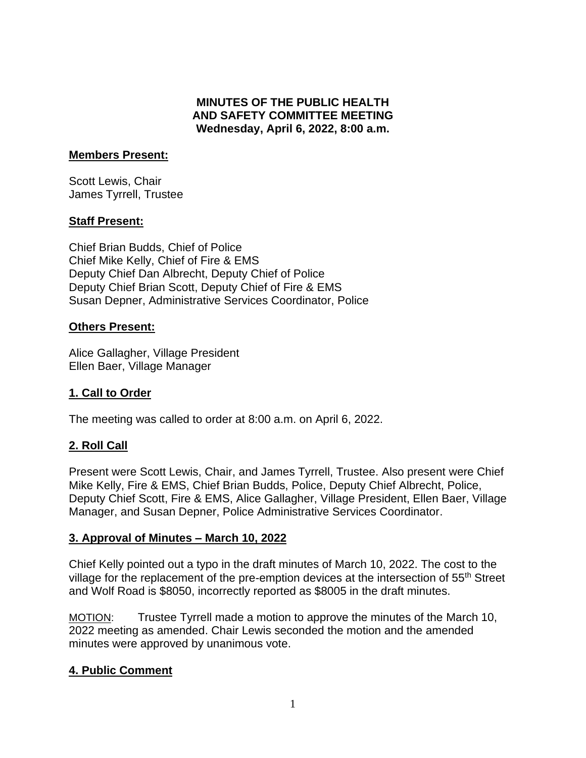### **MINUTES OF THE PUBLIC HEALTH AND SAFETY COMMITTEE MEETING Wednesday, April 6, 2022, 8:00 a.m.**

#### **Members Present:**

Scott Lewis, Chair James Tyrrell, Trustee

### **Staff Present:**

Chief Brian Budds, Chief of Police Chief Mike Kelly, Chief of Fire & EMS Deputy Chief Dan Albrecht, Deputy Chief of Police Deputy Chief Brian Scott, Deputy Chief of Fire & EMS Susan Depner, Administrative Services Coordinator, Police

### **Others Present:**

Alice Gallagher, Village President Ellen Baer, Village Manager

## **1. Call to Order**

The meeting was called to order at 8:00 a.m. on April 6, 2022.

## **2. Roll Call**

Present were Scott Lewis, Chair, and James Tyrrell, Trustee. Also present were Chief Mike Kelly, Fire & EMS, Chief Brian Budds, Police, Deputy Chief Albrecht, Police, Deputy Chief Scott, Fire & EMS, Alice Gallagher, Village President, Ellen Baer, Village Manager, and Susan Depner, Police Administrative Services Coordinator.

#### **3. Approval of Minutes – March 10, 2022**

Chief Kelly pointed out a typo in the draft minutes of March 10, 2022. The cost to the village for the replacement of the pre-emption devices at the intersection of 55<sup>th</sup> Street and Wolf Road is \$8050, incorrectly reported as \$8005 in the draft minutes.

MOTION: Trustee Tyrrell made a motion to approve the minutes of the March 10, 2022 meeting as amended. Chair Lewis seconded the motion and the amended minutes were approved by unanimous vote.

## **4. Public Comment**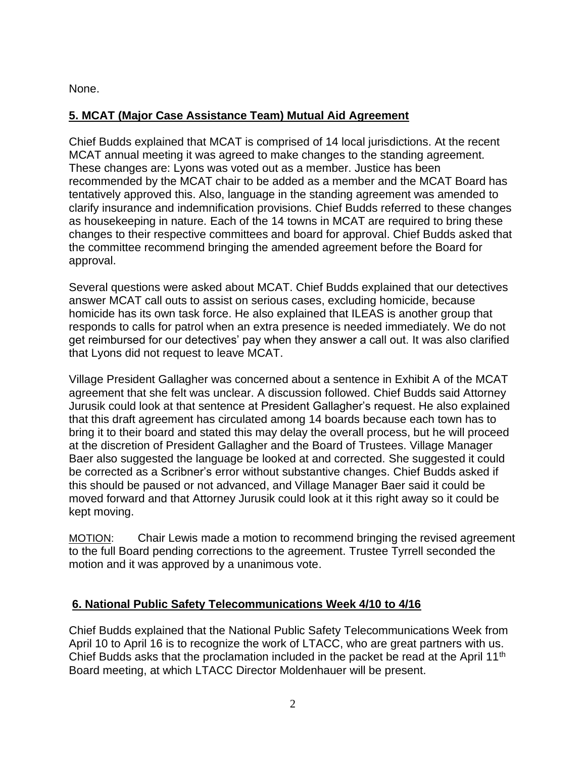None.

## **5. MCAT (Major Case Assistance Team) Mutual Aid Agreement**

Chief Budds explained that MCAT is comprised of 14 local jurisdictions. At the recent MCAT annual meeting it was agreed to make changes to the standing agreement. These changes are: Lyons was voted out as a member. Justice has been recommended by the MCAT chair to be added as a member and the MCAT Board has tentatively approved this. Also, language in the standing agreement was amended to clarify insurance and indemnification provisions. Chief Budds referred to these changes as housekeeping in nature. Each of the 14 towns in MCAT are required to bring these changes to their respective committees and board for approval. Chief Budds asked that the committee recommend bringing the amended agreement before the Board for approval.

Several questions were asked about MCAT. Chief Budds explained that our detectives answer MCAT call outs to assist on serious cases, excluding homicide, because homicide has its own task force. He also explained that ILEAS is another group that responds to calls for patrol when an extra presence is needed immediately. We do not get reimbursed for our detectives' pay when they answer a call out. It was also clarified that Lyons did not request to leave MCAT.

Village President Gallagher was concerned about a sentence in Exhibit A of the MCAT agreement that she felt was unclear. A discussion followed. Chief Budds said Attorney Jurusik could look at that sentence at President Gallagher's request. He also explained that this draft agreement has circulated among 14 boards because each town has to bring it to their board and stated this may delay the overall process, but he will proceed at the discretion of President Gallagher and the Board of Trustees. Village Manager Baer also suggested the language be looked at and corrected. She suggested it could be corrected as a Scribner's error without substantive changes. Chief Budds asked if this should be paused or not advanced, and Village Manager Baer said it could be moved forward and that Attorney Jurusik could look at it this right away so it could be kept moving.

MOTION: Chair Lewis made a motion to recommend bringing the revised agreement to the full Board pending corrections to the agreement. Trustee Tyrrell seconded the motion and it was approved by a unanimous vote.

## **6. National Public Safety Telecommunications Week 4/10 to 4/16**

Chief Budds explained that the National Public Safety Telecommunications Week from April 10 to April 16 is to recognize the work of LTACC, who are great partners with us. Chief Budds asks that the proclamation included in the packet be read at the April 11<sup>th</sup> Board meeting, at which LTACC Director Moldenhauer will be present.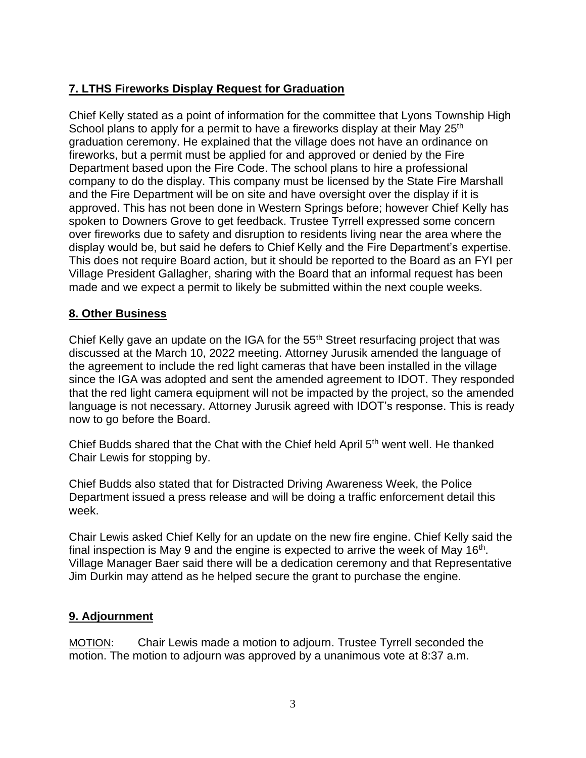# **7. LTHS Fireworks Display Request for Graduation**

Chief Kelly stated as a point of information for the committee that Lyons Township High School plans to apply for a permit to have a fireworks display at their May  $25<sup>th</sup>$ graduation ceremony. He explained that the village does not have an ordinance on fireworks, but a permit must be applied for and approved or denied by the Fire Department based upon the Fire Code. The school plans to hire a professional company to do the display. This company must be licensed by the State Fire Marshall and the Fire Department will be on site and have oversight over the display if it is approved. This has not been done in Western Springs before; however Chief Kelly has spoken to Downers Grove to get feedback. Trustee Tyrrell expressed some concern over fireworks due to safety and disruption to residents living near the area where the display would be, but said he defers to Chief Kelly and the Fire Department's expertise. This does not require Board action, but it should be reported to the Board as an FYI per Village President Gallagher, sharing with the Board that an informal request has been made and we expect a permit to likely be submitted within the next couple weeks.

### **8. Other Business**

Chief Kelly gave an update on the IGA for the 55<sup>th</sup> Street resurfacing project that was discussed at the March 10, 2022 meeting. Attorney Jurusik amended the language of the agreement to include the red light cameras that have been installed in the village since the IGA was adopted and sent the amended agreement to IDOT. They responded that the red light camera equipment will not be impacted by the project, so the amended language is not necessary. Attorney Jurusik agreed with IDOT's response. This is ready now to go before the Board.

Chief Budds shared that the Chat with the Chief held April 5th went well. He thanked Chair Lewis for stopping by.

Chief Budds also stated that for Distracted Driving Awareness Week, the Police Department issued a press release and will be doing a traffic enforcement detail this week.

Chair Lewis asked Chief Kelly for an update on the new fire engine. Chief Kelly said the final inspection is May 9 and the engine is expected to arrive the week of May 16<sup>th</sup>. Village Manager Baer said there will be a dedication ceremony and that Representative Jim Durkin may attend as he helped secure the grant to purchase the engine.

## **9. Adjournment**

MOTION: Chair Lewis made a motion to adjourn. Trustee Tyrrell seconded the motion. The motion to adjourn was approved by a unanimous vote at 8:37 a.m.